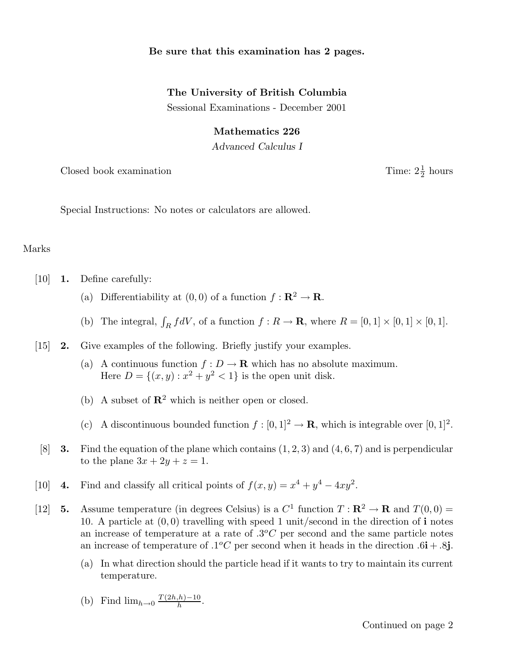## Be sure that this examination has 2 pages.

## The University of British Columbia

Sessional Examinations - December 2001

## Mathematics 226

Advanced Calculus I

Closed book examination

 $\frac{1}{2}$  hours

Special Instructions: No notes or calculators are allowed.

## Marks

- [10] 1. Define carefully:
	- (a) Differentiability at  $(0, 0)$  of a function  $f : \mathbb{R}^2 \to \mathbb{R}$ .
	- (b) The integral,  $\int_R f dV$ , of a function  $f : R \to \mathbf{R}$ , where  $R = [0, 1] \times [0, 1] \times [0, 1]$ .
- [15] 2. Give examples of the following. Briefly justify your examples.
	- (a) A continuous function  $f: D \to \mathbf{R}$  which has no absolute maximum. Here  $D = \{(x, y) : x^2 + y^2 < 1\}$  is the open unit disk.
	- (b) A subset of  $\mathbb{R}^2$  which is neither open or closed.
	- (c) A discontinuous bounded function  $f : [0,1]^2 \to \mathbf{R}$ , which is integrable over  $[0,1]^2$ .
- [8] **3.** Find the equation of the plane which contains  $(1, 2, 3)$  and  $(4, 6, 7)$  and is perpendicular to the plane  $3x + 2y + z = 1$ .
- [10] **4.** Find and classify all critical points of  $f(x, y) = x^4 + y^4 4xy^2$ .
- [12] 5. Assume temperature (in degrees Celsius) is a  $C^1$  function  $T : \mathbb{R}^2 \to \mathbb{R}$  and  $T(0,0) =$ 10. A particle at  $(0, 0)$  travelling with speed 1 unit/second in the direction of i notes an increase of temperature at a rate of  $.3^{\circ}C$  per second and the same particle notes an increase of temperature of  $.1^{\circ}C$  per second when it heads in the direction  $.6i + .8j$ .
	- (a) In what direction should the particle head if it wants to try to maintain its current temperature.

(b) Find 
$$
\lim_{h \to 0} \frac{T(2h,h) - 10}{h}
$$
.

Continued on page 2